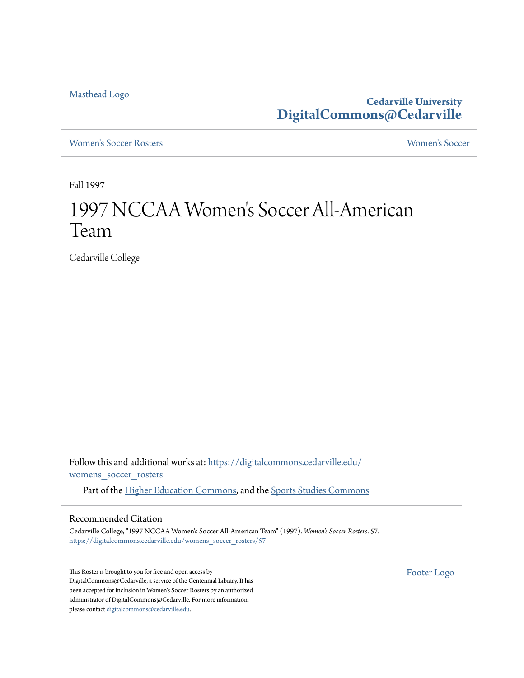[Masthead Logo](http://www.cedarville.edu/?utm_source=digitalcommons.cedarville.edu%2Fwomens_soccer_rosters%2F57&utm_medium=PDF&utm_campaign=PDFCoverPages)

**Cedarville University [DigitalCommons@Cedarville](https://digitalcommons.cedarville.edu?utm_source=digitalcommons.cedarville.edu%2Fwomens_soccer_rosters%2F57&utm_medium=PDF&utm_campaign=PDFCoverPages)**

[Women's Soccer Rosters](https://digitalcommons.cedarville.edu/womens_soccer_rosters?utm_source=digitalcommons.cedarville.edu%2Fwomens_soccer_rosters%2F57&utm_medium=PDF&utm_campaign=PDFCoverPages) [Women's Soccer](https://digitalcommons.cedarville.edu/womens_soccer?utm_source=digitalcommons.cedarville.edu%2Fwomens_soccer_rosters%2F57&utm_medium=PDF&utm_campaign=PDFCoverPages)

Fall 1997

# 1997 NCCAA Women 's Soccer All-American Team

Cedarville College

Follow this and additional works at: [https://digitalcommons.cedarville.edu/](https://digitalcommons.cedarville.edu/womens_soccer_rosters?utm_source=digitalcommons.cedarville.edu%2Fwomens_soccer_rosters%2F57&utm_medium=PDF&utm_campaign=PDFCoverPages) [womens\\_soccer\\_rosters](https://digitalcommons.cedarville.edu/womens_soccer_rosters?utm_source=digitalcommons.cedarville.edu%2Fwomens_soccer_rosters%2F57&utm_medium=PDF&utm_campaign=PDFCoverPages)

Part of the [Higher Education Commons](http://network.bepress.com/hgg/discipline/1245?utm_source=digitalcommons.cedarville.edu%2Fwomens_soccer_rosters%2F57&utm_medium=PDF&utm_campaign=PDFCoverPages), and the [Sports Studies Commons](http://network.bepress.com/hgg/discipline/1198?utm_source=digitalcommons.cedarville.edu%2Fwomens_soccer_rosters%2F57&utm_medium=PDF&utm_campaign=PDFCoverPages)

#### Recommended Citation

Cedarville College, "1997 NCCAA Women's Soccer All-American Team" (1997). *Women's Soccer Rosters*. 57. [https://digitalcommons.cedarville.edu/womens\\_soccer\\_rosters/57](https://digitalcommons.cedarville.edu/womens_soccer_rosters/57?utm_source=digitalcommons.cedarville.edu%2Fwomens_soccer_rosters%2F57&utm_medium=PDF&utm_campaign=PDFCoverPages)

This Roster is brought to you for free and open access by DigitalCommons@Cedarville, a service of the Centennial Library. It has been accepted for inclusion in Women's Soccer Rosters by an authorized administrator of DigitalCommons@Cedarville. For more information, please contact [digitalcommons@cedarville.edu.](mailto:digitalcommons@cedarville.edu)

[Footer Logo](http://www.cedarville.edu/Academics/Library.aspx?utm_source=digitalcommons.cedarville.edu%2Fwomens_soccer_rosters%2F57&utm_medium=PDF&utm_campaign=PDFCoverPages)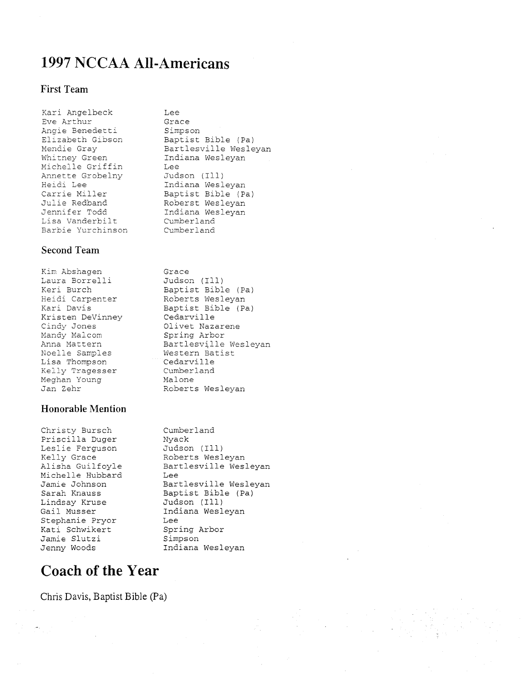## **1997 NCCAA All-Americans**

#### **First Team**

Kari Angelbeck Eve Arthur Angie Benedetti Elizabeth Gibson Mendie Gray Whitney Green Michelle Griffin Annette Grobelny Heidi Lee Carrie Miller Julie Redband Jennifer Todd Lisa Vanderbilt Barbie Yurchinson

Lee Grace Simpson Baptist Bible (Pa) Bartlesville Wesleyan Indiana Wesleyan Lee Judson (Ill) Indiana Wesleyan Baptist Bible (Pa) Roberst Wesleyan Indiana Wesleyan Cumberland Cumberland

#### **Second Team**

Kim Abshagen Laura Borrelli Keri Burch Heidi Carpenter Kari Davis Kristen Devinney Cindy Jones Mandy Malcom Anna Mattern Noelle Samples Lisa Thompson Kelly Tragesser Meghan Young Jan Zehr

#### **Honorable Mention**

Christy Bursch Priscilla Duger Leslie Ferguson Kelly Grace Alisha Guilfoyle Michelle Hubbard Jamie Johnson Sarah Knauss Lindsay Kruse Gail Musser Stephanie Pryor Kati Schwikert Jamie Slutzi Jenny Woods Cumberland Nyack Judson (Ill) Roberts Wesleyan Bartlesville Wesleyan Lee Bartlesville Wesleyan Baptist Bible (Pa) Judson (Ill) Indiana Wesleyan Lee Spring Arbor Simpson Indiana Wesleyan

### **Coach of the Year**

**Chris Davis, Baptist Bible (Pa)** 

Grace Judson (Ill) Baptist Bible (Pa) Roberts Wesleyan Baptist Bible (Pa) Cedarville Olivet Nazarene Spring Arbor Bartlesville Wesleyan Western Batist Cedarville Cumberland Malone Roberts Wesleyan